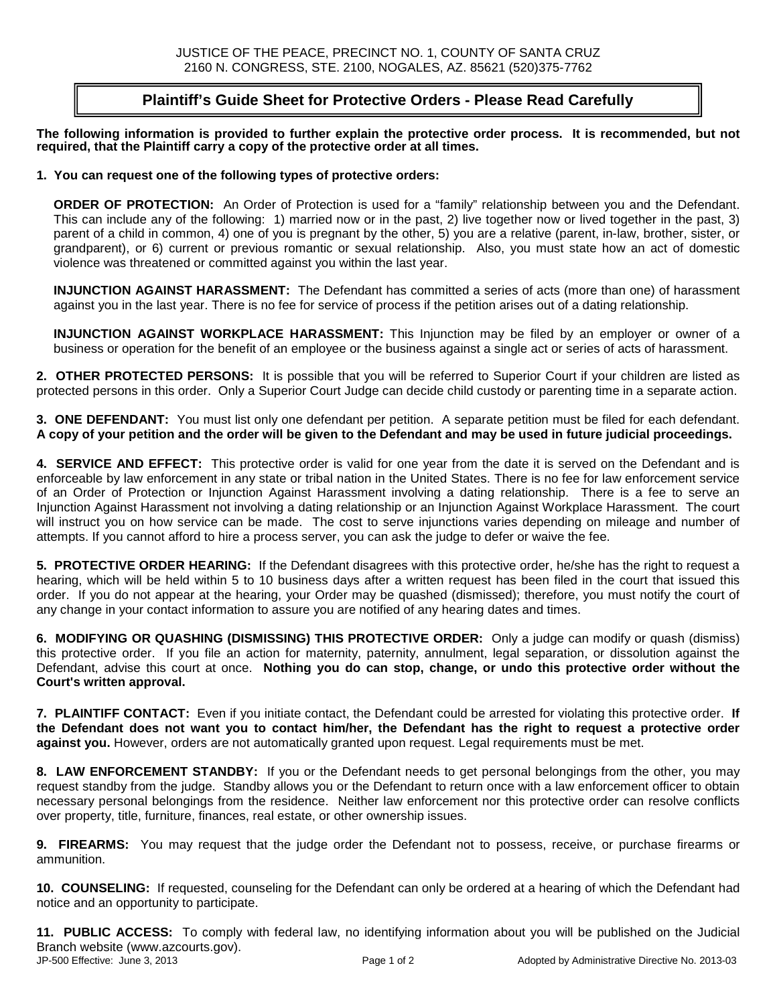### **Plaintiff's Guide Sheet for Protective Orders - Please Read Carefully**

**The following information is provided to further explain the protective order process. It is recommended, but not required, that the Plaintiff carry a copy of the protective order at all times.**

#### **1. You can request one of the following types of protective orders:**

**ORDER OF PROTECTION:** An Order of Protection is used for a "family" relationship between you and the Defendant. This can include any of the following: 1) married now or in the past, 2) live together now or lived together in the past, 3) parent of a child in common, 4) one of you is pregnant by the other, 5) you are a relative (parent, in-law, brother, sister, or grandparent), or 6) current or previous romantic or sexual relationship. Also, you must state how an act of domestic violence was threatened or committed against you within the last year.

**INJUNCTION AGAINST HARASSMENT:** The Defendant has committed a series of acts (more than one) of harassment against you in the last year. There is no fee for service of process if the petition arises out of a dating relationship.

**INJUNCTION AGAINST WORKPLACE HARASSMENT:** This Injunction may be filed by an employer or owner of a business or operation for the benefit of an employee or the business against a single act or series of acts of harassment.

**2. OTHER PROTECTED PERSONS:** It is possible that you will be referred to Superior Court if your children are listed as protected persons in this order. Only a Superior Court Judge can decide child custody or parenting time in a separate action.

**3. ONE DEFENDANT:** You must list only one defendant per petition. A separate petition must be filed for each defendant. **A copy of your petition and the order will be given to the Defendant and may be used in future judicial proceedings.**

**4. SERVICE AND EFFECT:** This protective order is valid for one year from the date it is served on the Defendant and is enforceable by law enforcement in any state or tribal nation in the United States. There is no fee for law enforcement service of an Order of Protection or Injunction Against Harassment involving a dating relationship. There is a fee to serve an Injunction Against Harassment not involving a dating relationship or an Injunction Against Workplace Harassment. The court will instruct you on how service can be made. The cost to serve injunctions varies depending on mileage and number of attempts. If you cannot afford to hire a process server, you can ask the judge to defer or waive the fee.

**5. PROTECTIVE ORDER HEARING:** If the Defendant disagrees with this protective order, he/she has the right to request a hearing, which will be held within 5 to 10 business days after a written request has been filed in the court that issued this order. If you do not appear at the hearing, your Order may be quashed (dismissed); therefore, you must notify the court of any change in your contact information to assure you are notified of any hearing dates and times.

**6. MODIFYING OR QUASHING (DISMISSING) THIS PROTECTIVE ORDER:** Only a judge can modify or quash (dismiss) this protective order. If you file an action for maternity, paternity, annulment, legal separation, or dissolution against the Defendant, advise this court at once. **Nothing you do can stop, change, or undo this protective order without the Court's written approval.**

**7. PLAINTIFF CONTACT:** Even if you initiate contact, the Defendant could be arrested for violating this protective order. **If the Defendant does not want you to contact him/her, the Defendant has the right to request a protective order against you.** However, orders are not automatically granted upon request. Legal requirements must be met.

**8. LAW ENFORCEMENT STANDBY:** If you or the Defendant needs to get personal belongings from the other, you may request standby from the judge. Standby allows you or the Defendant to return once with a law enforcement officer to obtain necessary personal belongings from the residence. Neither law enforcement nor this protective order can resolve conflicts over property, title, furniture, finances, real estate, or other ownership issues.

**9. FIREARMS:** You may request that the judge order the Defendant not to possess, receive, or purchase firearms or ammunition.

**10. COUNSELING:** If requested, counseling for the Defendant can only be ordered at a hearing of which the Defendant had notice and an opportunity to participate.

**11. PUBLIC ACCESS:** To comply with federal law, no identifying information about you will be published on the Judicial Branch website (www.azcourts.gov).<br>JP-500 Effective: June 3, 2013 Page 1 of 2 Adopted by Administrative Directive No. 2013-03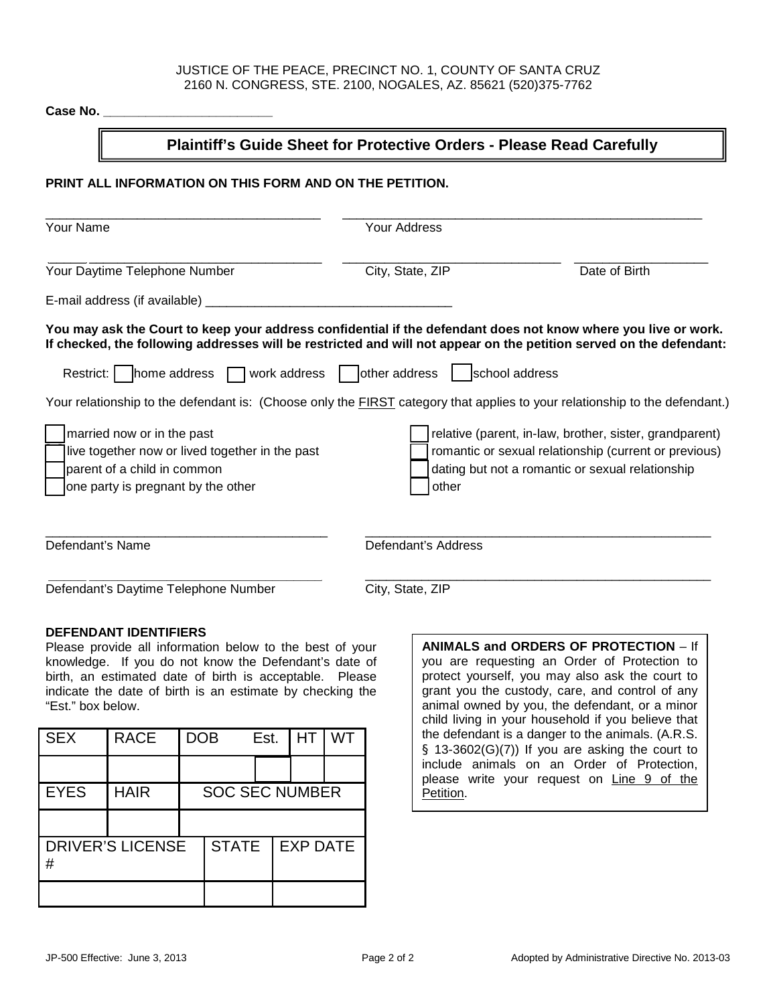#### JUSTICE OF THE PEACE, PRECINCT NO. 1, COUNTY OF SANTA CRUZ 2160 N. CONGRESS, STE. 2100, NOGALES, AZ. 85621 (520)375-7762

| Case No.                                                                                                                                                                                                                                                                                                                                                                                                                                                                                                                                                                          |                                                                              |                                                                                                                                                                                        |  |  |  |
|-----------------------------------------------------------------------------------------------------------------------------------------------------------------------------------------------------------------------------------------------------------------------------------------------------------------------------------------------------------------------------------------------------------------------------------------------------------------------------------------------------------------------------------------------------------------------------------|------------------------------------------------------------------------------|----------------------------------------------------------------------------------------------------------------------------------------------------------------------------------------|--|--|--|
|                                                                                                                                                                                                                                                                                                                                                                                                                                                                                                                                                                                   | <b>Plaintiff's Guide Sheet for Protective Orders - Please Read Carefully</b> |                                                                                                                                                                                        |  |  |  |
| PRINT ALL INFORMATION ON THIS FORM AND ON THE PETITION.                                                                                                                                                                                                                                                                                                                                                                                                                                                                                                                           |                                                                              |                                                                                                                                                                                        |  |  |  |
| <b>Your Name</b>                                                                                                                                                                                                                                                                                                                                                                                                                                                                                                                                                                  | Your Address                                                                 |                                                                                                                                                                                        |  |  |  |
| Your Daytime Telephone Number                                                                                                                                                                                                                                                                                                                                                                                                                                                                                                                                                     | City, State, ZIP                                                             | Date of Birth                                                                                                                                                                          |  |  |  |
|                                                                                                                                                                                                                                                                                                                                                                                                                                                                                                                                                                                   |                                                                              |                                                                                                                                                                                        |  |  |  |
| You may ask the Court to keep your address confidential if the defendant does not know where you live or work.<br>If checked, the following addresses will be restricted and will not appear on the petition served on the defendant:<br>Restrict: $\vert$ home address $\vert$ work address<br>Your relationship to the defendant is: (Choose only the FIRST category that applies to your relationship to the defendant.)<br>married now or in the past<br>live together now or lived together in the past<br>parent of a child in common<br>one party is pregnant by the other | $\vert$ other address<br>other                                               | school address<br>relative (parent, in-law, brother, sister, grandparent)<br>romantic or sexual relationship (current or previous)<br>dating but not a romantic or sexual relationship |  |  |  |
| Defendant's Name                                                                                                                                                                                                                                                                                                                                                                                                                                                                                                                                                                  | Defendant's Address                                                          |                                                                                                                                                                                        |  |  |  |
| Defendant's Daytime Telephone Number                                                                                                                                                                                                                                                                                                                                                                                                                                                                                                                                              | City, State, ZIP                                                             |                                                                                                                                                                                        |  |  |  |
| <b>DEFENDANT IDENTIFIERS</b>                                                                                                                                                                                                                                                                                                                                                                                                                                                                                                                                                      |                                                                              | J ODDEDO OF BROTECTION                                                                                                                                                                 |  |  |  |

Please provide all information below to the best of your knowledge. If you do not know the Defendant's date of birth, an estimated date of birth is acceptable. Please indicate the date of birth is an estimate by checking the "Est." box below.

| <b>SEX</b>                   | <b>RACE</b> | <b>DOB</b>            |              | Est. | HT              | WT |
|------------------------------|-------------|-----------------------|--------------|------|-----------------|----|
|                              |             |                       |              |      |                 |    |
| <b>EYES</b>                  | <b>HAIR</b> | <b>SOC SEC NUMBER</b> |              |      |                 |    |
|                              |             |                       |              |      |                 |    |
| <b>DRIVER'S LICENSE</b><br># |             |                       | <b>STATE</b> |      | <b>EXP DATE</b> |    |
|                              |             |                       |              |      |                 |    |

**ANIMALS and ORDERS OF PROTECTION** – If you are requesting an Order of Protection to protect yourself, you may also ask the court to grant you the custody, care, and control of any animal owned by you, the defendant, or a minor child living in your household if you believe that the defendant is a danger to the animals. (A.R.S.  $§$  13-3602(G)(7)) If you are asking the court to include animals on an Order of Protection, please write your request on Line 9 of the Petition.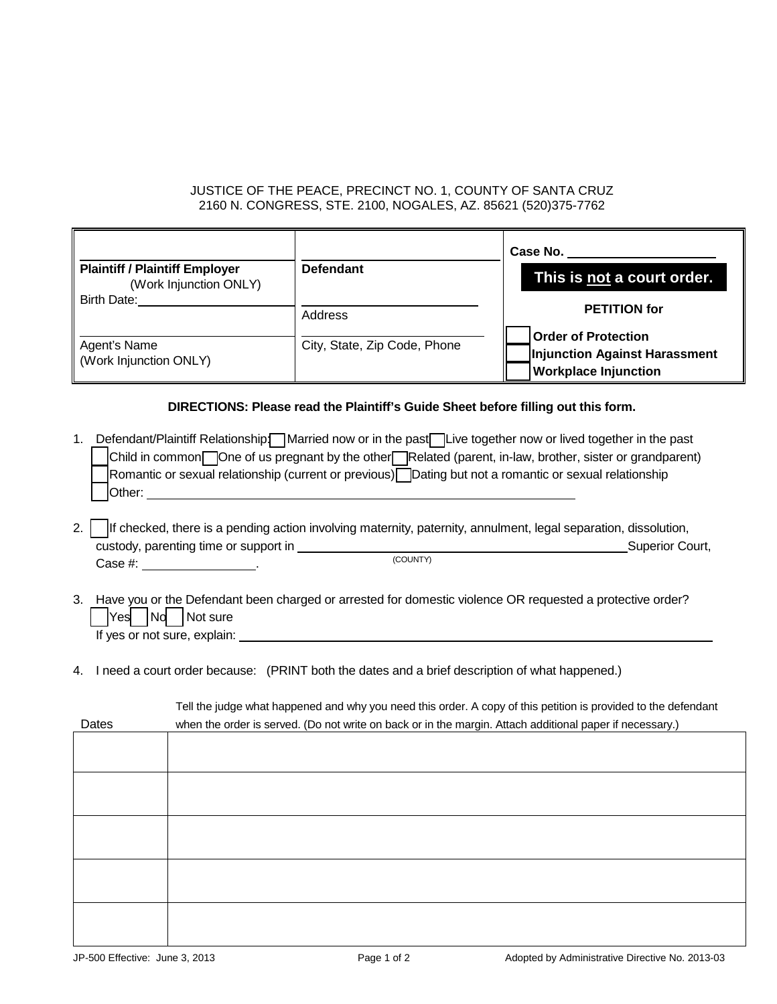### JUSTICE OF THE PEACE, PRECINCT NO. 1, COUNTY OF SANTA CRUZ 2160 N. CONGRESS, STE. 2100, NOGALES, AZ. 85621 (520)375-7762

|                                                                 |                              | Case No.                                                                                   |
|-----------------------------------------------------------------|------------------------------|--------------------------------------------------------------------------------------------|
| <b>Plaintiff / Plaintiff Employer</b><br>(Work Injunction ONLY) | <b>Defendant</b>             | This is not a court order.                                                                 |
| <b>Birth Date:</b>                                              | Address                      | <b>PETITION for</b>                                                                        |
| Agent's Name<br>Work Injunction ONLY)                           | City, State, Zip Code, Phone | <b>Order of Protection</b><br>Injunction Against Harassment<br><b>Workplace Injunction</b> |

### **DIRECTIONS: Please read the Plaintiff's Guide Sheet before filling out this form.**

|  | Defendant/Plaintiff Relationship: Married now or in the past Live together now or lived together in the past |
|--|--------------------------------------------------------------------------------------------------------------|
|  | Child in common One of us pregnant by the other Related (parent, in-law, brother, sister or grandparent)     |
|  | Romantic or sexual relationship (current or previous) Dating but not a romantic or sexual relationship       |
|  | <b>Other:</b>                                                                                                |

|  | 2.   If checked, there is a pending action involving maternity, paternity, annulment, legal separation, dissolution, |          |  |                 |
|--|----------------------------------------------------------------------------------------------------------------------|----------|--|-----------------|
|  | custody, parenting time or support in                                                                                |          |  | Superior Court, |
|  | Case #:                                                                                                              | (COUNTY) |  |                 |

- 3. Have you or the Defendant been charged or arrested for domestic violence OR requested a protective order?  $\begin{bmatrix} \n \text{Yes} \n \end{bmatrix}$   $\begin{bmatrix} \text{Not sure} \n \end{bmatrix}$ If yes or not sure, explain:
- 4. I need a court order because: (PRINT both the dates and a brief description of what happened.)

| Dates | Tell the judge what happened and why you need this order. A copy of this petition is provided to the defendant |  |  |  |  |
|-------|----------------------------------------------------------------------------------------------------------------|--|--|--|--|
|       | when the order is served. (Do not write on back or in the margin. Attach additional paper if necessary.)       |  |  |  |  |
|       |                                                                                                                |  |  |  |  |
|       |                                                                                                                |  |  |  |  |
|       |                                                                                                                |  |  |  |  |
|       |                                                                                                                |  |  |  |  |
|       |                                                                                                                |  |  |  |  |
|       |                                                                                                                |  |  |  |  |
|       |                                                                                                                |  |  |  |  |
|       |                                                                                                                |  |  |  |  |
|       |                                                                                                                |  |  |  |  |

r.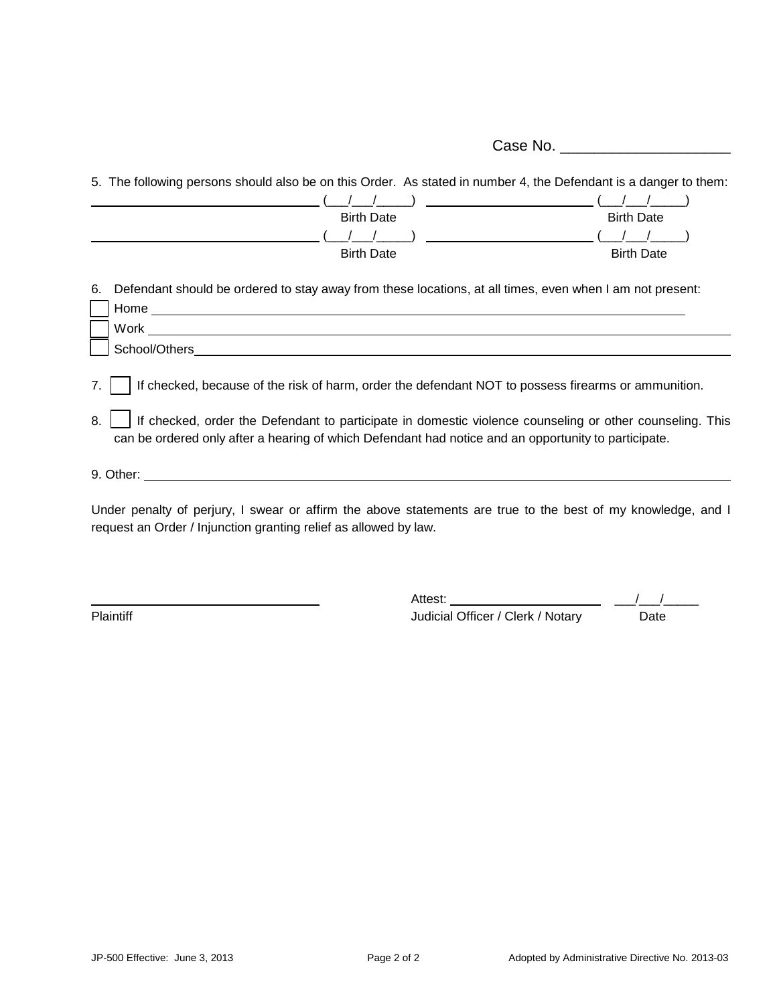Case No.

5. The following persons should also be on this Order. As stated in number 4, the Defendant is a danger to them:  $\frac{(\frac{1}{\sqrt{2}})}{(\frac{1}{\sqrt{2}})}$   $\frac{(\frac{1}{\sqrt{2}})}{(\frac{1}{\sqrt{2}})}$  Birth Date Birth Date Birth Date (\_\_\_/\_\_\_/\_\_\_\_\_) (\_\_\_/\_\_\_/\_\_\_\_\_) **Birth Date** 6. Defendant should be ordered to stay away from these locations, at all times, even when I am not present: Home experiments are all the second states of the second states of the second states of the second states of the second states of the second states of the second states of the second states of the second states of the seco Work when the contract of the contract of the contract of the contract of the contract of the contract of the contract of the contract of the contract of the contract of the contract of the contract of the contract of the School/Others **and the set of the set of the set of the set of the set of the set of the set of the set of the set of the set of the set of the set of the set of the set of the set of the set of the set of the set of the s** 7. [ ] If checked, because of the risk of harm, order the defendant NOT to possess firearms or ammunition. 8. | | If checked, order the Defendant to participate in domestic violence counseling or other counseling. This can be ordered only after a hearing of which Defendant had notice and an opportunity to participate. 9. Other: Under penalty of perjury, I swear or affirm the above statements are true to the best of my knowledge, and I request an Order / Injunction granting relief as allowed by law.

Attest: Plaintiff **Department Clerk Inc.** The United States of Clerk *Judicial Officer / Clerk / Notary* Date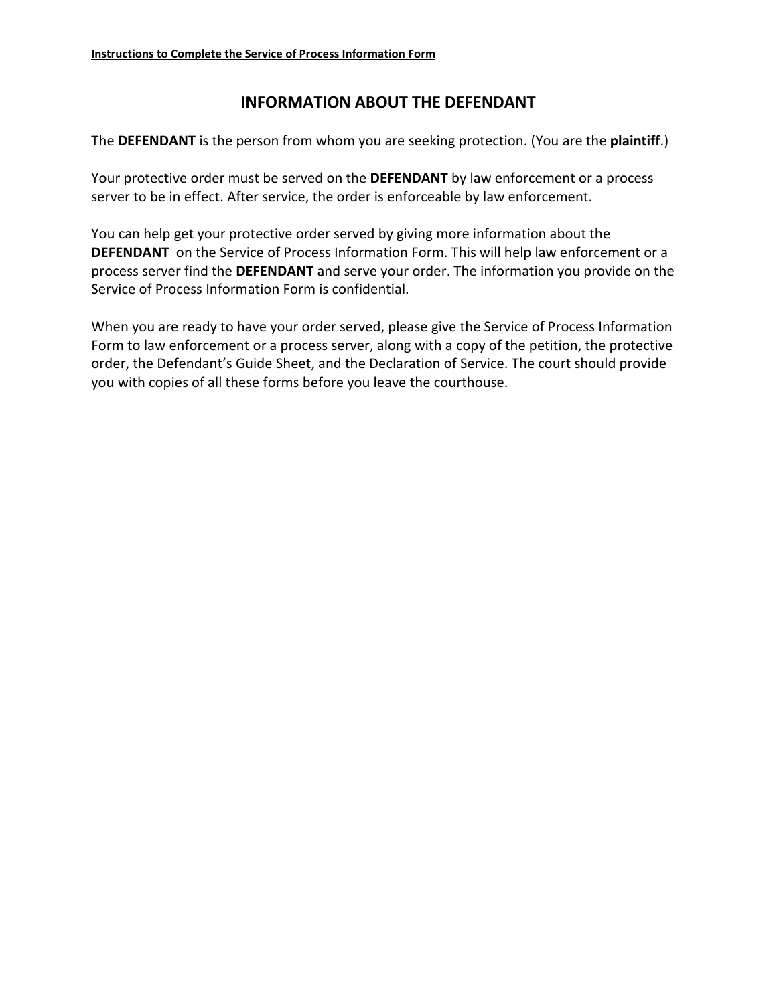# **INFORMATION ABOUT THE DEFENDANT**

The **DEFENDANT** is the person from whom you are seeking protection. (You are the **plaintiff**.)

Your protective order must be served on the **DEFENDANT** by law enforcement or a process server to be in effect. After service, the order is enforceable by law enforcement.

You can help get your protective order served by giving more information about the **DEFENDANT** on the Service of Process Information Form. This will help law enforcement or a process server find the **DEFENDANT** and serve your order. The information you provide on the Service of Process Information Form is confidential.

When you are ready to have your order served, please give the Service of Process Information Form to law enforcement or a process server, along with a copy of the petition, the protective order, the Defendant's Guide Sheet, and the Declaration of Service. The court should provide you with copies of all these forms before you leave the courthouse.